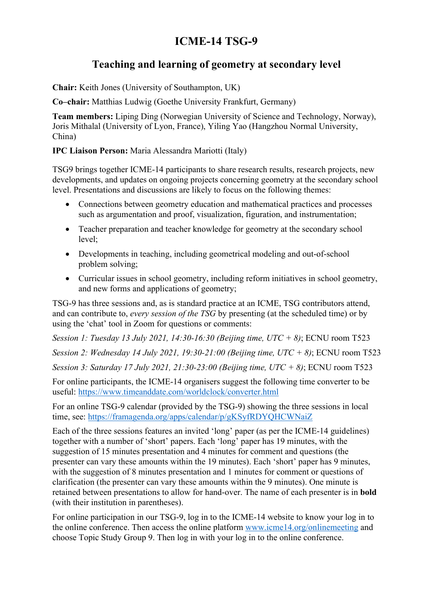# ICME-14 TSG-9

## Teaching and learning of geometry at secondary level

Chair: Keith Jones (University of Southampton, UK)

Co–chair: Matthias Ludwig (Goethe University Frankfurt, Germany)

Team members: Liping Ding (Norwegian University of Science and Technology, Norway), Joris Mithalal (University of Lyon, France), Yiling Yao (Hangzhou Normal University, China)

### IPC Liaison Person: Maria Alessandra Mariotti (Italy)

TSG9 brings together ICME-14 participants to share research results, research projects, new developments, and updates on ongoing projects concerning geometry at the secondary school level. Presentations and discussions are likely to focus on the following themes:

- Connections between geometry education and mathematical practices and processes such as argumentation and proof, visualization, figuration, and instrumentation;
- Teacher preparation and teacher knowledge for geometry at the secondary school level;
- Developments in teaching, including geometrical modeling and out-of-school problem solving;
- Curricular issues in school geometry, including reform initiatives in school geometry, and new forms and applications of geometry;

TSG-9 has three sessions and, as is standard practice at an ICME, TSG contributors attend, and can contribute to, every session of the TSG by presenting (at the scheduled time) or by using the 'chat' tool in Zoom for questions or comments:

Session 1: Tuesday 13 July 2021, 14:30-16:30 (Beijing time, UTC + 8); ECNU room T523 Session 2: Wednesday 14 July 2021, 19:30-21:00 (Beijing time, UTC + 8); ECNU room T523

Session 3: Saturday 17 July 2021, 21:30-23:00 (Beijing time, UTC + 8); ECNU room T523

For online participants, the ICME-14 organisers suggest the following time converter to be useful: https://www.timeanddate.com/worldclock/converter.html

For an online TSG-9 calendar (provided by the TSG-9) showing the three sessions in local time, see: https://framagenda.org/apps/calendar/p/gKSyfRDYQHCWNaiZ

Each of the three sessions features an invited 'long' paper (as per the ICME-14 guidelines) together with a number of 'short' papers. Each 'long' paper has 19 minutes, with the suggestion of 15 minutes presentation and 4 minutes for comment and questions (the presenter can vary these amounts within the 19 minutes). Each 'short' paper has 9 minutes, with the suggestion of 8 minutes presentation and 1 minutes for comment or questions of clarification (the presenter can vary these amounts within the 9 minutes). One minute is retained between presentations to allow for hand-over. The name of each presenter is in bold (with their institution in parentheses).

For online participation in our TSG-9, log in to the ICME-14 website to know your log in to the online conference. Then access the online platform www.icme14.org/onlinemeeting and choose Topic Study Group 9. Then log in with your log in to the online conference.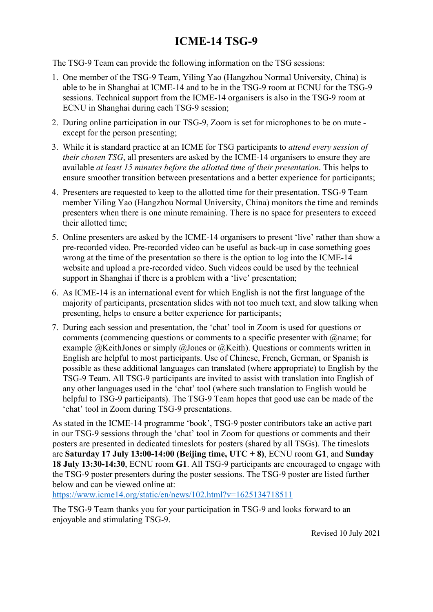# ICME-14 TSG-9

The TSG-9 Team can provide the following information on the TSG sessions:

- 1. One member of the TSG-9 Team, Yiling Yao (Hangzhou Normal University, China) is able to be in Shanghai at ICME-14 and to be in the TSG-9 room at ECNU for the TSG-9 sessions. Technical support from the ICME-14 organisers is also in the TSG-9 room at ECNU in Shanghai during each TSG-9 session;
- 2. During online participation in our TSG-9, Zoom is set for microphones to be on mute except for the person presenting;
- 3. While it is standard practice at an ICME for TSG participants to attend every session of their chosen TSG, all presenters are asked by the ICME-14 organisers to ensure they are available at least 15 minutes before the allotted time of their presentation. This helps to ensure smoother transition between presentations and a better experience for participants;
- 4. Presenters are requested to keep to the allotted time for their presentation. TSG-9 Team member Yiling Yao (Hangzhou Normal University, China) monitors the time and reminds presenters when there is one minute remaining. There is no space for presenters to exceed their allotted time;
- 5. Online presenters are asked by the ICME-14 organisers to present 'live' rather than show a pre-recorded video. Pre-recorded video can be useful as back-up in case something goes wrong at the time of the presentation so there is the option to log into the ICME-14 website and upload a pre-recorded video. Such videos could be used by the technical support in Shanghai if there is a problem with a 'live' presentation;
- 6. As ICME-14 is an international event for which English is not the first language of the majority of participants, presentation slides with not too much text, and slow talking when presenting, helps to ensure a better experience for participants;
- 7. During each session and presentation, the 'chat' tool in Zoom is used for questions or comments (commencing questions or comments to a specific presenter with  $@$  name; for example @KeithJones or simply @Jones or @Keith). Questions or comments written in English are helpful to most participants. Use of Chinese, French, German, or Spanish is possible as these additional languages can translated (where appropriate) to English by the TSG-9 Team. All TSG-9 participants are invited to assist with translation into English of any other languages used in the 'chat' tool (where such translation to English would be helpful to TSG-9 participants). The TSG-9 Team hopes that good use can be made of the 'chat' tool in Zoom during TSG-9 presentations.

As stated in the ICME-14 programme 'book', TSG-9 poster contributors take an active part in our TSG-9 sessions through the 'chat' tool in Zoom for questions or comments and their posters are presented in dedicated timeslots for posters (shared by all TSGs). The timeslots are Saturday 17 July 13:00-14:00 (Beijing time,  $UTC + 8$ ), ECNU room G1, and Sunday 18 July 13:30-14:30, ECNU room G1. All TSG-9 participants are encouraged to engage with the TSG-9 poster presenters during the poster sessions. The TSG-9 poster are listed further below and can be viewed online at:

https://www.icme14.org/static/en/news/102.html?v=1625134718511

The TSG-9 Team thanks you for your participation in TSG-9 and looks forward to an enjoyable and stimulating TSG-9.

Revised 10 July 2021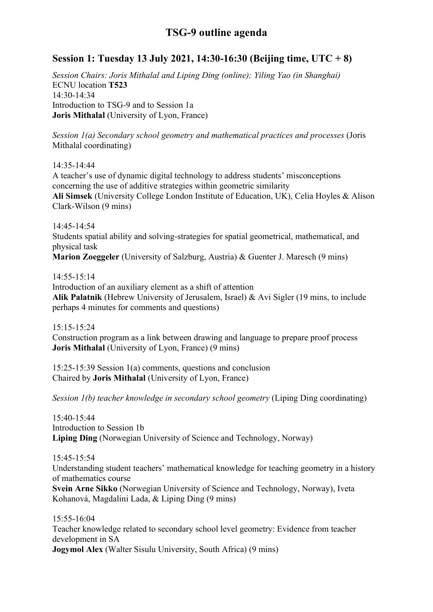### Session 1: Tuesday 13 July 2021, 14:30-16:30 (Beijing time, UTC + 8)

Session Chairs: Joris Mithalal and Liping Ding (online); Yiling Yao (in Shanghai) ECNU location T523 14:30-14:34 Introduction to TSG-9 and to Session 1a Joris Mithalal (University of Lyon, France)

Session  $I(a)$  Secondary school geometry and mathematical practices and processes (Joris Mithalal coordinating)

14:35-14:44

A teacher's use of dynamic digital technology to address students' misconceptions concerning the use of additive strategies within geometric similarity Ali Simsek (University College London Institute of Education, UK), Celia Hoyles & Alison Clark-Wilson (9 mins)

14:45-14:54 Students spatial ability and solving-strategies for spatial geometrical, mathematical, and physical task Marion Zoeggeler (University of Salzburg, Austria) & Guenter J. Maresch (9 mins)

14:55-15:14

Introduction of an auxiliary element as a shift of attention Alik Palatnik (Hebrew University of Jerusalem, Israel) & Avi Sigler (19 mins, to include perhaps 4 minutes for comments and questions)

15:15-15:24 Construction program as a link between drawing and language to prepare proof process Joris Mithalal (University of Lyon, France) (9 mins)

15:25-15:39 Session 1(a) comments, questions and conclusion Chaired by Joris Mithalal (University of Lyon, France)

Session 1(b) teacher knowledge in secondary school geometry (Liping Ding coordinating)

15:40-15:44 Introduction to Session 1b Liping Ding (Norwegian University of Science and Technology, Norway)

15:45-15:54

Understanding student teachers' mathematical knowledge for teaching geometry in a history of mathematics course

Svein Arne Sikko (Norwegian University of Science and Technology, Norway), Iveta Kohanová, Magdalini Lada, & Liping Ding (9 mins)

15:55-16:04 Teacher knowledge related to secondary school level geometry: Evidence from teacher development in SA Jogymol Alex (Walter Sisulu University, South Africa) (9 mins)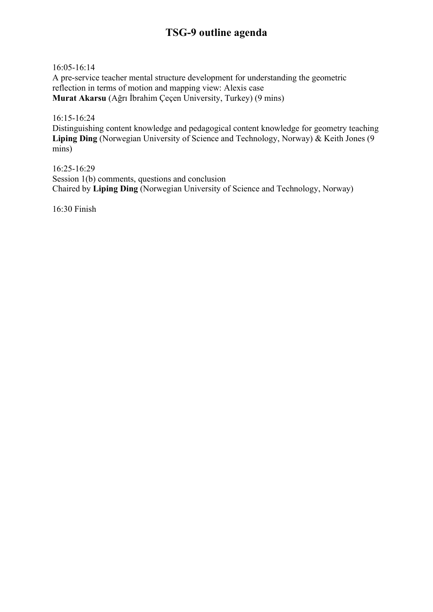16:05-16:14

A pre-service teacher mental structure development for understanding the geometric reflection in terms of motion and mapping view: Alexis case Murat Akarsu (Ağrı İbrahim Çeçen University, Turkey) (9 mins)

16:15-16:24 Distinguishing content knowledge and pedagogical content knowledge for geometry teaching Liping Ding (Norwegian University of Science and Technology, Norway) & Keith Jones (9 mins)

16:25-16:29 Session 1(b) comments, questions and conclusion Chaired by Liping Ding (Norwegian University of Science and Technology, Norway)

16:30 Finish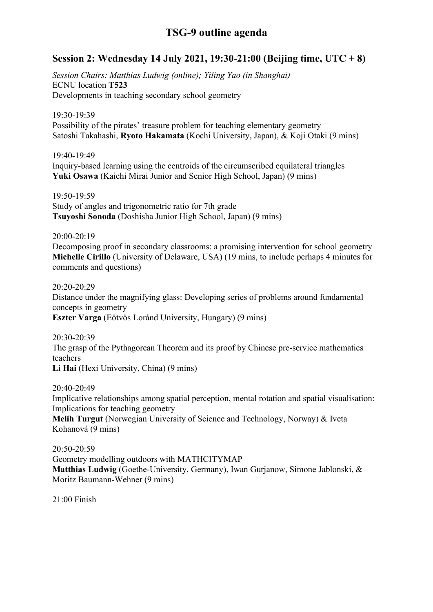### Session 2: Wednesday 14 July 2021, 19:30-21:00 (Beijing time, UTC + 8)

Session Chairs: Matthias Ludwig (online); Yiling Yao (in Shanghai) ECNU location T523 Developments in teaching secondary school geometry

19:30-19:39 Possibility of the pirates' treasure problem for teaching elementary geometry Satoshi Takahashi, Ryoto Hakamata (Kochi University, Japan), & Koji Otaki (9 mins)

19:40-19:49 Inquiry-based learning using the centroids of the circumscribed equilateral triangles Yuki Osawa (Kaichi Mirai Junior and Senior High School, Japan) (9 mins)

19:50-19:59 Study of angles and trigonometric ratio for 7th grade Tsuyoshi Sonoda (Doshisha Junior High School, Japan) (9 mins)

20:00-20:19

Decomposing proof in secondary classrooms: a promising intervention for school geometry Michelle Cirillo (University of Delaware, USA) (19 mins, to include perhaps 4 minutes for comments and questions)

20:20-20:29

Distance under the magnifying glass: Developing series of problems around fundamental concepts in geometry Eszter Varga (Eötvös Loránd University, Hungary) (9 mins)

20:30-20:39 The grasp of the Pythagorean Theorem and its proof by Chinese pre-service mathematics teachers Li Hai (Hexi University, China) (9 mins)

20:40-20:49 Implicative relationships among spatial perception, mental rotation and spatial visualisation: Implications for teaching geometry Melih Turgut (Norwegian University of Science and Technology, Norway) & Iveta Kohanová (9 mins)

20:50-20:59 Geometry modelling outdoors with MATHCITYMAP Matthias Ludwig (Goethe-University, Germany), Iwan Gurjanow, Simone Jablonski, & Moritz Baumann-Wehner (9 mins)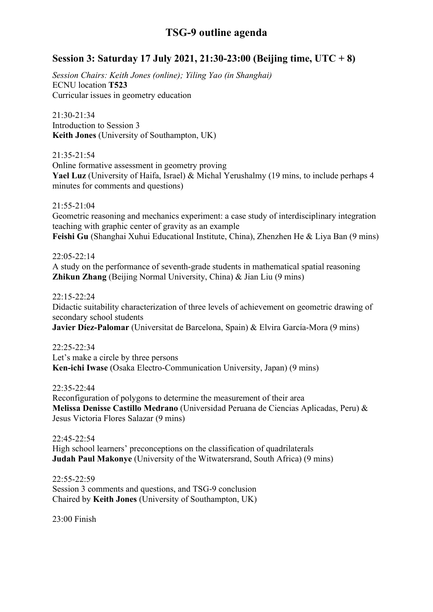### Session 3: Saturday 17 July 2021, 21:30-23:00 (Beijing time, UTC + 8)

Session Chairs: Keith Jones (online); Yiling Yao (in Shanghai) ECNU location T523 Curricular issues in geometry education

21:30-21:34 Introduction to Session 3 Keith Jones (University of Southampton, UK)

21:35-21:54

Online formative assessment in geometry proving Yael Luz (University of Haifa, Israel) & Michal Yerushalmy (19 mins, to include perhaps 4 minutes for comments and questions)

21:55-21:04

Geometric reasoning and mechanics experiment: a case study of interdisciplinary integration teaching with graphic center of gravity as an example Feishi Gu (Shanghai Xuhui Educational Institute, China), Zhenzhen He & Liya Ban (9 mins)

22:05-22:14

A study on the performance of seventh-grade students in mathematical spatial reasoning Zhikun Zhang (Beijing Normal University, China) & Jian Liu (9 mins)

22:15-22:24

Didactic suitability characterization of three levels of achievement on geometric drawing of secondary school students

Javier Díez-Palomar (Universitat de Barcelona, Spain) & Elvira García-Mora (9 mins)

22:25-22:34 Let's make a circle by three persons Ken-ichi Iwase (Osaka Electro-Communication University, Japan) (9 mins)

22:35-22:44

Reconfiguration of polygons to determine the measurement of their area Melissa Denisse Castillo Medrano (Universidad Peruana de Ciencias Aplicadas, Peru) & Jesus Victoria Flores Salazar (9 mins)

22:45-22:54 High school learners' preconceptions on the classification of quadrilaterals Judah Paul Makonye (University of the Witwatersrand, South Africa) (9 mins)

22:55-22:59 Session 3 comments and questions, and TSG-9 conclusion Chaired by Keith Jones (University of Southampton, UK)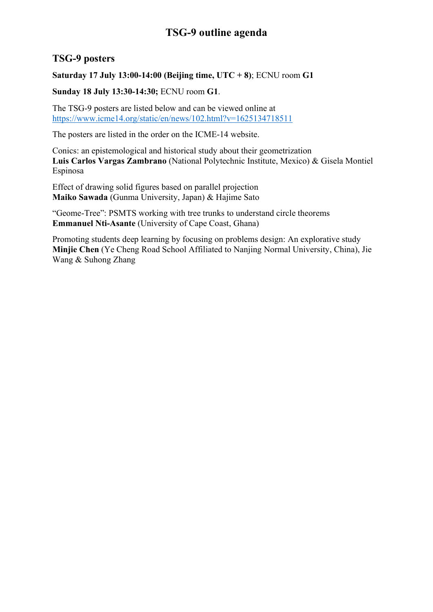### TSG-9 posters

Saturday 17 July 13:00-14:00 (Beijing time,  $UTC + 8$ ); ECNU room G1

Sunday 18 July 13:30-14:30; ECNU room G1.

The TSG-9 posters are listed below and can be viewed online at https://www.icme14.org/static/en/news/102.html?v=1625134718511

The posters are listed in the order on the ICME-14 website.

Conics: an epistemological and historical study about their geometrization Luis Carlos Vargas Zambrano (National Polytechnic Institute, Mexico) & Gisela Montiel Espinosa

Effect of drawing solid figures based on parallel projection Maiko Sawada (Gunma University, Japan) & Hajime Sato

"Geome-Tree": PSMTS working with tree trunks to understand circle theorems Emmanuel Nti-Asante (University of Cape Coast, Ghana)

Promoting students deep learning by focusing on problems design: An explorative study Minjie Chen (Ye Cheng Road School Affiliated to Nanjing Normal University, China), Jie Wang & Suhong Zhang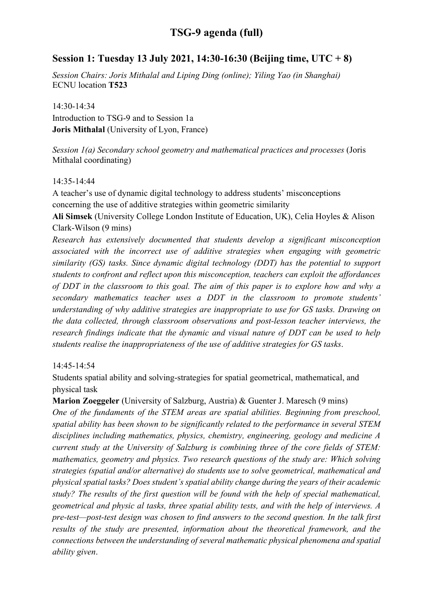### Session 1: Tuesday 13 July 2021, 14:30-16:30 (Beijing time, UTC + 8)

Session Chairs: Joris Mithalal and Liping Ding (online); Yiling Yao (in Shanghai) ECNU location T523

14:30-14:34 Introduction to TSG-9 and to Session 1a Joris Mithalal (University of Lyon, France)

Session 1(a) Secondary school geometry and mathematical practices and processes (Joris Mithalal coordinating)

#### 14:35-14:44

A teacher's use of dynamic digital technology to address students' misconceptions concerning the use of additive strategies within geometric similarity

Ali Simsek (University College London Institute of Education, UK), Celia Hoyles & Alison Clark-Wilson (9 mins)

Research has extensively documented that students develop a significant misconception associated with the incorrect use of additive strategies when engaging with geometric similarity (GS) tasks. Since dynamic digital technology (DDT) has the potential to support students to confront and reflect upon this misconception, teachers can exploit the affordances of DDT in the classroom to this goal. The aim of this paper is to explore how and why a secondary mathematics teacher uses a DDT in the classroom to promote students' understanding of why additive strategies are inappropriate to use for GS tasks. Drawing on the data collected, through classroom observations and post-lesson teacher interviews, the research findings indicate that the dynamic and visual nature of DDT can be used to help students realise the inappropriateness of the use of additive strategies for GS tasks.

#### 14:45-14:54

Students spatial ability and solving-strategies for spatial geometrical, mathematical, and physical task

Marion Zoeggeler (University of Salzburg, Austria) & Guenter J. Maresch (9 mins)

One of the fundaments of the STEM areas are spatial abilities. Beginning from preschool, spatial ability has been shown to be significantly related to the performance in several STEM disciplines including mathematics, physics, chemistry, engineering, geology and medicine A current study at the University of Salzburg is combining three of the core fields of STEM: mathematics, geometry and physics. Two research questions of the study are: Which solving strategies (spatial and/or alternative) do students use to solve geometrical, mathematical and physical spatial tasks? Does student's spatial ability change during the years of their academic study? The results of the first question will be found with the help of special mathematical, geometrical and physic al tasks, three spatial ability tests, and with the help of interviews. A pre-test—post-test design was chosen to find answers to the second question. In the talk first results of the study are presented, information about the theoretical framework, and the connections between the understanding of several mathematic physical phenomena and spatial ability given.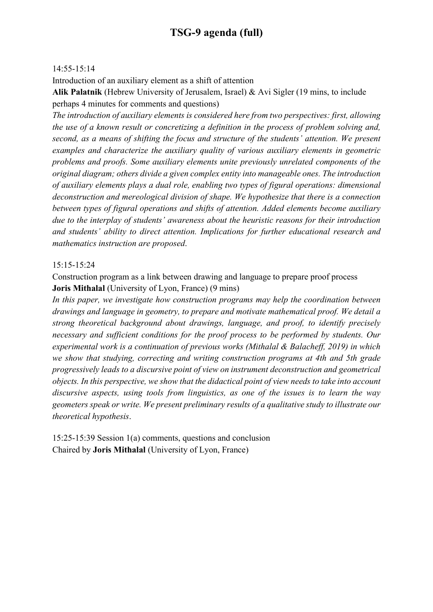#### 14:55-15:14

Introduction of an auxiliary element as a shift of attention

Alik Palatnik (Hebrew University of Jerusalem, Israel) & Avi Sigler (19 mins, to include perhaps 4 minutes for comments and questions)

The introduction of auxiliary elements is considered here from two perspectives: first, allowing the use of a known result or concretizing a definition in the process of problem solving and, second, as a means of shifting the focus and structure of the students' attention. We present examples and characterize the auxiliary quality of various auxiliary elements in geometric problems and proofs. Some auxiliary elements unite previously unrelated components of the original diagram; others divide a given complex entity into manageable ones. The introduction of auxiliary elements plays a dual role, enabling two types of figural operations: dimensional deconstruction and mereological division of shape. We hypothesize that there is a connection between types of figural operations and shifts of attention. Added elements become auxiliary due to the interplay of students' awareness about the heuristic reasons for their introduction and students' ability to direct attention. Implications for further educational research and mathematics instruction are proposed.

#### 15:15-15:24

Construction program as a link between drawing and language to prepare proof process Joris Mithalal (University of Lyon, France) (9 mins)

In this paper, we investigate how construction programs may help the coordination between drawings and language in geometry, to prepare and motivate mathematical proof. We detail a strong theoretical background about drawings, language, and proof, to identify precisely necessary and sufficient conditions for the proof process to be performed by students. Our experimental work is a continuation of previous works (Mithalal & Balacheff, 2019) in which we show that studying, correcting and writing construction programs at 4th and 5th grade progressively leads to a discursive point of view on instrument deconstruction and geometrical objects. In this perspective, we show that the didactical point of view needs to take into account discursive aspects, using tools from linguistics, as one of the issues is to learn the way geometers speak or write. We present preliminary results of a qualitative study to illustrate our theoretical hypothesis.

15:25-15:39 Session 1(a) comments, questions and conclusion Chaired by Joris Mithalal (University of Lyon, France)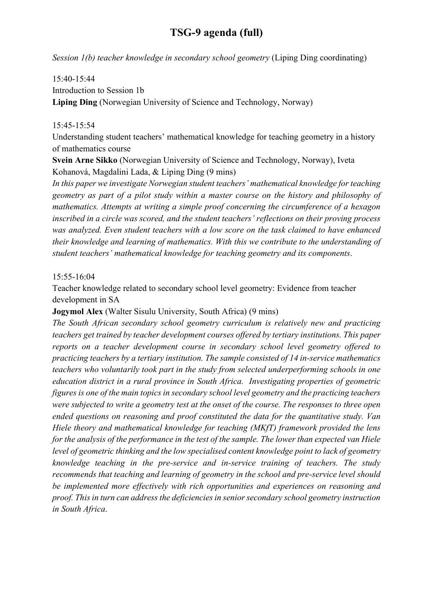Session 1(b) teacher knowledge in secondary school geometry (Liping Ding coordinating)

#### 15:40-15:44

Introduction to Session 1b

Liping Ding (Norwegian University of Science and Technology, Norway)

#### 15:45-15:54

Understanding student teachers' mathematical knowledge for teaching geometry in a history of mathematics course

Svein Arne Sikko (Norwegian University of Science and Technology, Norway), Iveta Kohanová, Magdalini Lada, & Liping Ding (9 mins)

In this paper we investigate Norwegian student teachers' mathematical knowledge for teaching geometry as part of a pilot study within a master course on the history and philosophy of mathematics. Attempts at writing a simple proof concerning the circumference of a hexagon inscribed in a circle was scored, and the student teachers' reflections on their proving process was analyzed. Even student teachers with a low score on the task claimed to have enhanced their knowledge and learning of mathematics. With this we contribute to the understanding of student teachers' mathematical knowledge for teaching geometry and its components.

#### 15:55-16:04

Teacher knowledge related to secondary school level geometry: Evidence from teacher development in SA

#### Jogymol Alex (Walter Sisulu University, South Africa) (9 mins)

The South African secondary school geometry curriculum is relatively new and practicing teachers get trained by teacher development courses offered by tertiary institutions. This paper reports on a teacher development course in secondary school level geometry offered to practicing teachers by a tertiary institution. The sample consisted of 14 in-service mathematics teachers who voluntarily took part in the study from selected underperforming schools in one education district in a rural province in South Africa. Investigating properties of geometric figures is one of the main topics in secondary school level geometry and the practicing teachers were subjected to write a geometry test at the onset of the course. The responses to three open ended questions on reasoning and proof constituted the data for the quantitative study. Van Hiele theory and mathematical knowledge for teaching (MKfT) framework provided the lens for the analysis of the performance in the test of the sample. The lower than expected van Hiele level of geometric thinking and the low specialised content knowledge point to lack of geometry knowledge teaching in the pre-service and in-service training of teachers. The study recommends that teaching and learning of geometry in the school and pre-service level should be implemented more effectively with rich opportunities and experiences on reasoning and proof. This in turn can address the deficiencies in senior secondary school geometry instruction in South Africa.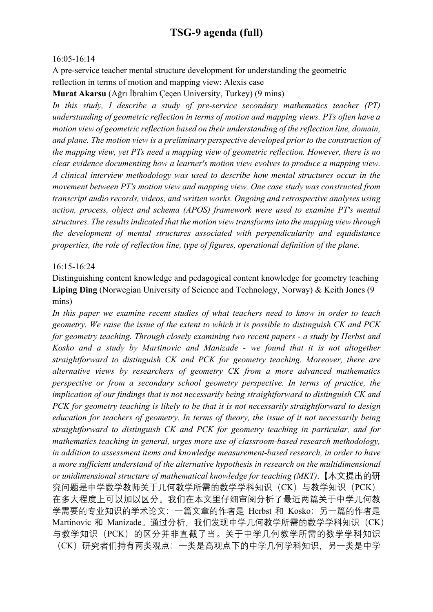#### 16:05-16:14

A pre-service teacher mental structure development for understanding the geometric reflection in terms of motion and mapping view: Alexis case

Murat Akarsu (Ağrı İbrahim Çeçen University, Turkey) (9 mins)

In this study, I describe a study of pre-service secondary mathematics teacher (PT) understanding of geometric reflection in terms of motion and mapping views. PTs often have a motion view of geometric reflection based on their understanding of the reflection line, domain, and plane. The motion view is a preliminary perspective developed prior to the construction of the mapping view, yet PTs need a mapping view of geometric reflection. However, there is no clear evidence documenting how a learner's motion view evolves to produce a mapping view. A clinical interview methodology was used to describe how mental structures occur in the movement between PT's motion view and mapping view. One case study was constructed from transcript audio records, videos, and written works. Ongoing and retrospective analyses using action, process, object and schema (APOS) framework were used to examine PT's mental structures. The results indicated that the motion view transforms into the mapping view through the development of mental structures associated with perpendicularity and equidistance properties, the role of reflection line, type of figures, operational definition of the plane.

#### 16:15-16:24

Distinguishing content knowledge and pedagogical content knowledge for geometry teaching Liping Ding (Norwegian University of Science and Technology, Norway) & Keith Jones (9 mins)

In this paper we examine recent studies of what teachers need to know in order to teach geometry. We raise the issue of the extent to which it is possible to distinguish CK and PCK for geometry teaching. Through closely examining two recent papers - a study by Herbst and Kosko and a study by Martinovic and Manizade - we found that it is not altogether straightforward to distinguish CK and PCK for geometry teaching. Moreover, there are alternative views by researchers of geometry CK from a more advanced mathematics perspective or from a secondary school geometry perspective. In terms of practice, the implication of our findings that is not necessarily being straightforward to distinguish CK and PCK for geometry teaching is likely to be that it is not necessarily straightforward to design education for teachers of geometry. In terms of theory, the issue of it not necessarily being straightforward to distinguish CK and PCK for geometry teaching in particular, and for mathematics teaching in general, urges more use of classroom-based research methodology, in addition to assessment items and knowledge measurement-based research, in order to have a more sufficient understand of the alternative hypothesis in research on the multidimensional or unidimensional structure of mathematical knowledge for teaching (MKT).【本文提出的研 究问题是中学数学教师关于几何教学所需的数学学科知识(CK)与教学知识(PCK) 在多大程度上可以加以区分。我们在本文里仔细审阅分析了最近两篇关于中学几何教 学需要的专业知识的学术论文:一篇文章的作者是 Herbst 和 Kosko;另一篇的作者是 Martinovic 和 Manizade。通过分析, 我们发现中学几何教学所需的数学学科知识 (CK) 与教学知识(PCK)的区分并非直截了当。关于中学几何教学所需的数学学科知识 (CK)研究者们持有两类观点:一类是高观点下的中学几何学科知识,另一类是中学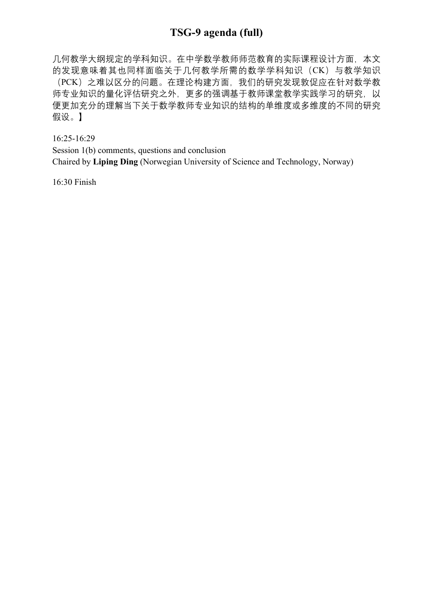几何教学大纲规定的学科知识。在中学数学教师师范教育的实际课程设计方面,本文 的发现意味着其也同样面临关于几何教学所需的数学学科知识(CK)与教学知识 (PCK)之难以区分的问题。在理论构建方面,我们的研究发现敦促应在针对数学教 师专业知识的量化评估研究之外,更多的强调基于教师课堂教学实践学习的研究,以 便更加充分的理解当下关于数学教师专业知识的结构的单维度或多维度的不同的研究 假设。】

16:25-16:29

Session 1(b) comments, questions and conclusion

Chaired by Liping Ding (Norwegian University of Science and Technology, Norway)

16:30 Finish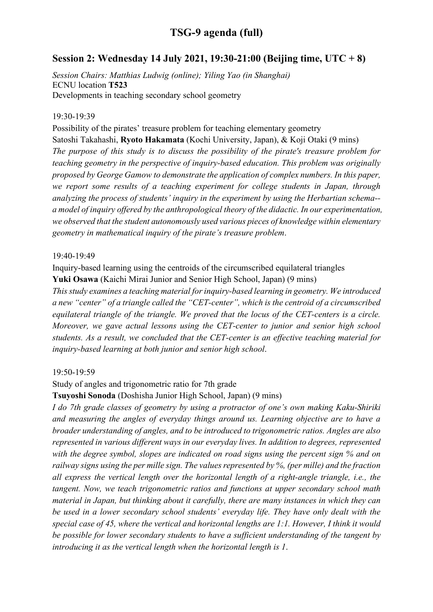### Session 2: Wednesday 14 July 2021, 19:30-21:00 (Beijing time, UTC + 8)

Session Chairs: Matthias Ludwig (online); Yiling Yao (in Shanghai) ECNU location T523 Developments in teaching secondary school geometry

#### 19:30-19:39

Possibility of the pirates' treasure problem for teaching elementary geometry Satoshi Takahashi, Ryoto Hakamata (Kochi University, Japan), & Koji Otaki (9 mins) The purpose of this study is to discuss the possibility of the pirate's treasure problem for teaching geometry in the perspective of inquiry-based education. This problem was originally proposed by George Gamow to demonstrate the application of complex numbers. In this paper, we report some results of a teaching experiment for college students in Japan, through analyzing the process of students' inquiry in the experiment by using the Herbartian schema- a model of inquiry offered by the anthropological theory of the didactic. In our experimentation, we observed that the student autonomously used various pieces of knowledge within elementary geometry in mathematical inquiry of the pirate's treasure problem.

#### 19:40-19:49

Inquiry-based learning using the centroids of the circumscribed equilateral triangles Yuki Osawa (Kaichi Mirai Junior and Senior High School, Japan) (9 mins)

This study examines a teaching material for inquiry-based learning in geometry. We introduced a new "center" of a triangle called the "CET-center", which is the centroid of a circumscribed equilateral triangle of the triangle. We proved that the locus of the CET-centers is a circle. Moreover, we gave actual lessons using the CET-center to junior and senior high school students. As a result, we concluded that the CET-center is an effective teaching material for inquiry-based learning at both junior and senior high school.

#### 19:50-19:59

Study of angles and trigonometric ratio for 7th grade

Tsuyoshi Sonoda (Doshisha Junior High School, Japan) (9 mins)

I do 7th grade classes of geometry by using a protractor of one's own making Kaku-Shiriki and measuring the angles of everyday things around us. Learning objective are to have a broader understanding of angles, and to be introduced to trigonometric ratios. Angles are also represented in various different ways in our everyday lives. In addition to degrees, represented with the degree symbol, slopes are indicated on road signs using the percent sign % and on railway signs using the per mille sign. The values represented by %, (per mille) and the fraction all express the vertical length over the horizontal length of a right-angle triangle, i.e., the tangent. Now, we teach trigonometric ratios and functions at upper secondary school math material in Japan, but thinking about it carefully, there are many instances in which they can be used in a lower secondary school students' everyday life. They have only dealt with the special case of 45, where the vertical and horizontal lengths are 1:1. However, I think it would be possible for lower secondary students to have a sufficient understanding of the tangent by introducing it as the vertical length when the horizontal length is 1.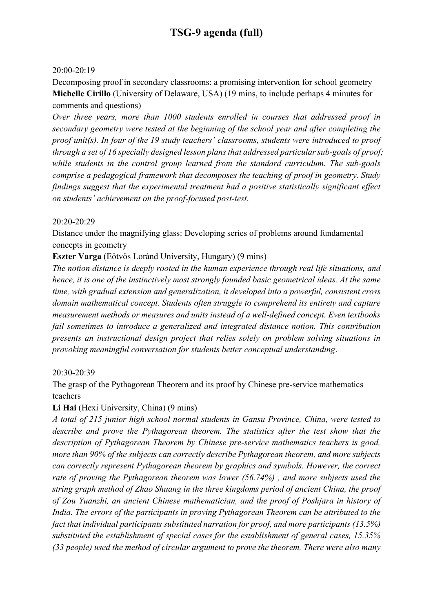#### 20:00-20:19

Decomposing proof in secondary classrooms: a promising intervention for school geometry Michelle Cirillo (University of Delaware, USA) (19 mins, to include perhaps 4 minutes for comments and questions)

Over three years, more than 1000 students enrolled in courses that addressed proof in secondary geometry were tested at the beginning of the school year and after completing the proof unit(s). In four of the 19 study teachers' classrooms, students were introduced to proof through a set of 16 specially designed lesson plans that addressed particular sub-goals of proof; while students in the control group learned from the standard curriculum. The sub-goals comprise a pedagogical framework that decomposes the teaching of proof in geometry. Study findings suggest that the experimental treatment had a positive statistically significant effect on students' achievement on the proof-focused post-test.

#### 20:20-20:29

Distance under the magnifying glass: Developing series of problems around fundamental concepts in geometry

### Eszter Varga (Eötvös Loránd University, Hungary) (9 mins)

The notion distance is deeply rooted in the human experience through real life situations, and hence, it is one of the instinctively most strongly founded basic geometrical ideas. At the same time, with gradual extension and generalization, it developed into a powerful, consistent cross domain mathematical concept. Students often struggle to comprehend its entirety and capture measurement methods or measures and units instead of a well-defined concept. Even textbooks fail sometimes to introduce a generalized and integrated distance notion. This contribution presents an instructional design project that relies solely on problem solving situations in provoking meaningful conversation for students better conceptual understanding.

#### 20:30-20:39

The grasp of the Pythagorean Theorem and its proof by Chinese pre-service mathematics teachers

### Li Hai (Hexi University, China) (9 mins)

A total of 215 junior high school normal students in Gansu Province, China, were tested to describe and prove the Pythagorean theorem. The statistics after the test show that the description of Pythagorean Theorem by Chinese pre-service mathematics teachers is good, more than 90% of the subjects can correctly describe Pythagorean theorem, and more subjects can correctly represent Pythagorean theorem by graphics and symbols. However, the correct rate of proving the Pythagorean theorem was lower (56.74%) , and more subjects used the string graph method of Zhao Shuang in the three kingdoms period of ancient China, the proof of Zou Yuanzhi, an ancient Chinese mathematician, and the proof of Poshjara in history of India. The errors of the participants in proving Pythagorean Theorem can be attributed to the fact that individual participants substituted narration for proof, and more participants (13.5%) substituted the establishment of special cases for the establishment of general cases, 15.35% (33 people) used the method of circular argument to prove the theorem. There were also many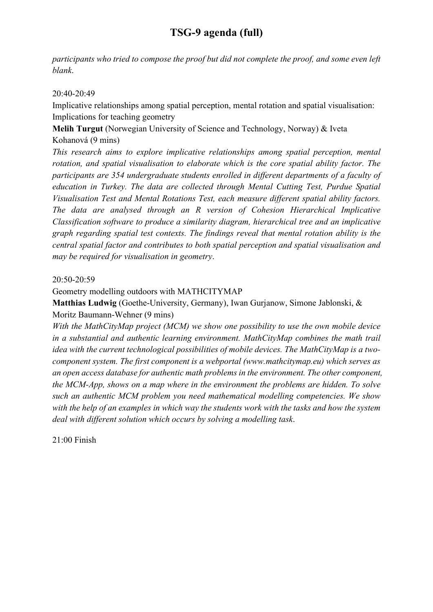participants who tried to compose the proof but did not complete the proof, and some even left blank.

#### 20:40-20:49

Implicative relationships among spatial perception, mental rotation and spatial visualisation: Implications for teaching geometry

Melih Turgut (Norwegian University of Science and Technology, Norway) & Iveta Kohanová (9 mins)

This research aims to explore implicative relationships among spatial perception, mental rotation, and spatial visualisation to elaborate which is the core spatial ability factor. The participants are 354 undergraduate students enrolled in different departments of a faculty of education in Turkey. The data are collected through Mental Cutting Test, Purdue Spatial Visualisation Test and Mental Rotations Test, each measure different spatial ability factors. The data are analysed through an R version of Cohesion Hierarchical Implicative Classification software to produce a similarity diagram, hierarchical tree and an implicative graph regarding spatial test contexts. The findings reveal that mental rotation ability is the central spatial factor and contributes to both spatial perception and spatial visualisation and may be required for visualisation in geometry.

#### 20:50-20:59

#### Geometry modelling outdoors with MATHCITYMAP

Matthias Ludwig (Goethe-University, Germany), Iwan Gurjanow, Simone Jablonski, & Moritz Baumann-Wehner (9 mins)

With the MathCityMap project (MCM) we show one possibility to use the own mobile device in a substantial and authentic learning environment. MathCityMap combines the math trail idea with the current technological possibilities of mobile devices. The MathCityMap is a twocomponent system. The first component is a webportal (www.mathcitymap.eu) which serves as an open access database for authentic math problems in the environment. The other component, the MCM-App, shows on a map where in the environment the problems are hidden. To solve such an authentic MCM problem you need mathematical modelling competencies. We show with the help of an examples in which way the students work with the tasks and how the system deal with different solution which occurs by solving a modelling task.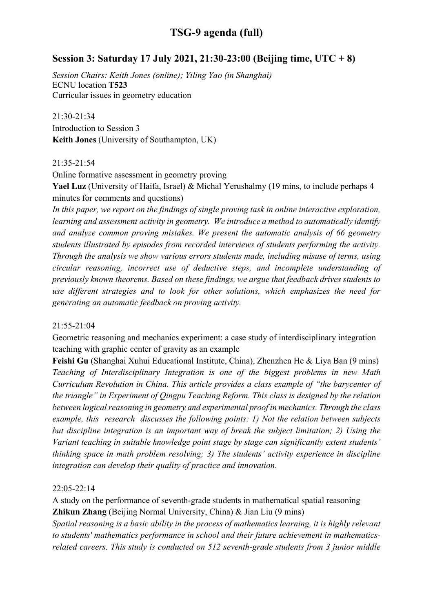### Session 3: Saturday 17 July 2021, 21:30-23:00 (Beijing time, UTC + 8)

Session Chairs: Keith Jones (online); Yiling Yao (in Shanghai) ECNU location T523 Curricular issues in geometry education

21:30-21:34 Introduction to Session 3 Keith Jones (University of Southampton, UK)

21:35-21:54

Online formative assessment in geometry proving

Yael Luz (University of Haifa, Israel) & Michal Yerushalmy (19 mins, to include perhaps 4 minutes for comments and questions)

In this paper, we report on the findings of single proving task in online interactive exploration, learning and assessment activity in geometry. We introduce a method to automatically identify and analyze common proving mistakes. We present the automatic analysis of 66 geometry students illustrated by episodes from recorded interviews of students performing the activity. Through the analysis we show various errors students made, including misuse of terms, using circular reasoning, incorrect use of deductive steps, and incomplete understanding of previously known theorems. Based on these findings, we argue that feedback drives students to use different strategies and to look for other solutions, which emphasizes the need for generating an automatic feedback on proving activity.

#### 21:55-21:04

Geometric reasoning and mechanics experiment: a case study of interdisciplinary integration teaching with graphic center of gravity as an example

Feishi Gu (Shanghai Xuhui Educational Institute, China), Zhenzhen He & Liya Ban (9 mins) Teaching of Interdisciplinary Integration is one of the biggest problems in new Math Curriculum Revolution in China. This article provides a class example of "the barycenter of the triangle" in Experiment of Qingpu Teaching Reform. This class is designed by the relation between logical reasoning in geometry and experimental proof in mechanics. Through the class example, this research discusses the following points: 1) Not the relation between subjects but discipline integration is an important way of break the subject limitation; 2) Using the Variant teaching in suitable knowledge point stage by stage can significantly extent students' thinking space in math problem resolving; 3) The students' activity experience in discipline integration can develop their quality of practice and innovation.

#### 22:05-22:14

A study on the performance of seventh-grade students in mathematical spatial reasoning Zhikun Zhang (Beijing Normal University, China) & Jian Liu (9 mins)

Spatial reasoning is a basic ability in the process of mathematics learning, it is highly relevant to students' mathematics performance in school and their future achievement in mathematicsrelated careers. This study is conducted on 512 seventh-grade students from 3 junior middle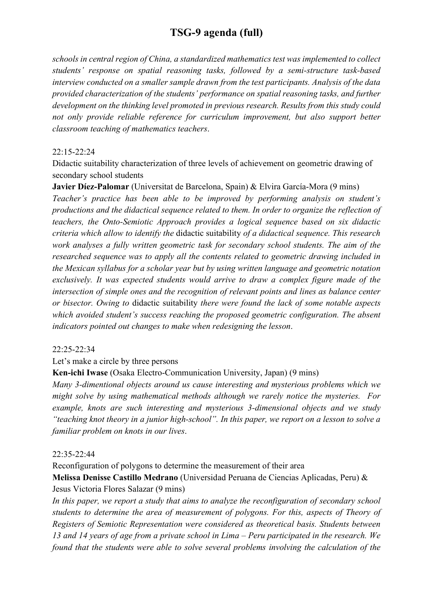schools in central region of China, a standardized mathematics test was implemented to collect students' response on spatial reasoning tasks, followed by a semi-structure task-based interview conducted on a smaller sample drawn from the test participants. Analysis of the data provided characterization of the students' performance on spatial reasoning tasks, and further development on the thinking level promoted in previous research. Results from this study could not only provide reliable reference for curriculum improvement, but also support better classroom teaching of mathematics teachers.

#### 22:15-22:24

Didactic suitability characterization of three levels of achievement on geometric drawing of secondary school students

Javier Díez-Palomar (Universitat de Barcelona, Spain) & Elvira García-Mora (9 mins) Teacher's practice has been able to be improved by performing analysis on student's productions and the didactical sequence related to them. In order to organize the reflection of teachers, the Onto-Semiotic Approach provides a logical sequence based on six didactic criteria which allow to identify the didactic suitability of a didactical sequence. This research work analyses a fully written geometric task for secondary school students. The aim of the researched sequence was to apply all the contents related to geometric drawing included in the Mexican syllabus for a scholar year but by using written language and geometric notation exclusively. It was expected students would arrive to draw a complex figure made of the intersection of simple ones and the recognition of relevant points and lines as balance center or bisector. Owing to didactic suitability there were found the lack of some notable aspects which avoided student's success reaching the proposed geometric configuration. The absent indicators pointed out changes to make when redesigning the lesson.

#### 22:25-22:34

#### Let's make a circle by three persons

### Ken-ichi Iwase (Osaka Electro-Communication University, Japan) (9 mins)

Many 3-dimentional objects around us cause interesting and mysterious problems which we might solve by using mathematical methods although we rarely notice the mysteries. For example, knots are such interesting and mysterious 3-dimensional objects and we study "teaching knot theory in a junior high-school". In this paper, we report on a lesson to solve a familiar problem on knots in our lives.

#### 22:35-22:44

Reconfiguration of polygons to determine the measurement of their area Melissa Denisse Castillo Medrano (Universidad Peruana de Ciencias Aplicadas, Peru) & Jesus Victoria Flores Salazar (9 mins)

In this paper, we report a study that aims to analyze the reconfiguration of secondary school students to determine the area of measurement of polygons. For this, aspects of Theory of Registers of Semiotic Representation were considered as theoretical basis. Students between 13 and 14 years of age from a private school in Lima – Peru participated in the research. We found that the students were able to solve several problems involving the calculation of the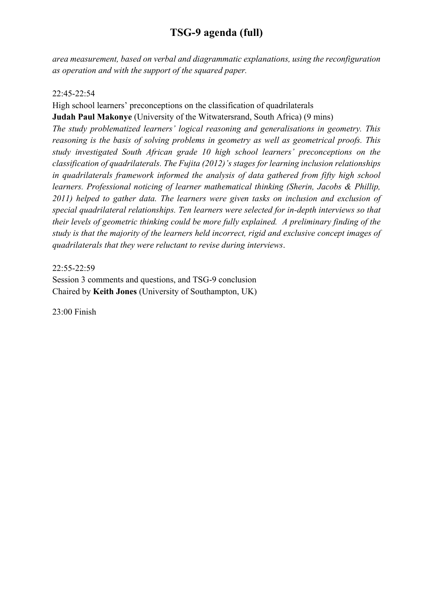area measurement, based on verbal and diagrammatic explanations, using the reconfiguration as operation and with the support of the squared paper.

#### 22:45-22:54

High school learners' preconceptions on the classification of quadrilaterals

Judah Paul Makonye (University of the Witwatersrand, South Africa) (9 mins)

The study problematized learners' logical reasoning and generalisations in geometry. This reasoning is the basis of solving problems in geometry as well as geometrical proofs. This study investigated South African grade 10 high school learners' preconceptions on the classification of quadrilaterals. The Fujita (2012)'s stages for learning inclusion relationships in quadrilaterals framework informed the analysis of data gathered from fifty high school learners. Professional noticing of learner mathematical thinking (Sherin, Jacobs & Phillip, 2011) helped to gather data. The learners were given tasks on inclusion and exclusion of special quadrilateral relationships. Ten learners were selected for in-depth interviews so that their levels of geometric thinking could be more fully explained. A preliminary finding of the study is that the majority of the learners held incorrect, rigid and exclusive concept images of quadrilaterals that they were reluctant to revise during interviews.

#### 22:55-22:59

Session 3 comments and questions, and TSG-9 conclusion Chaired by Keith Jones (University of Southampton, UK)